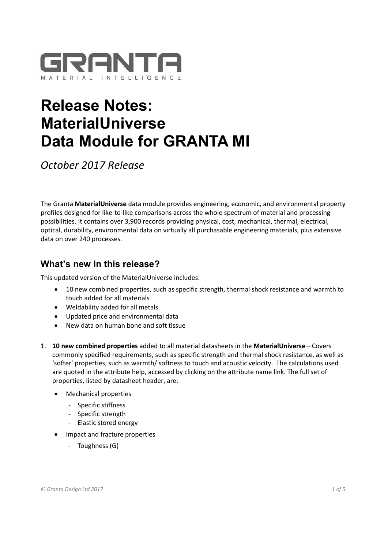

# **Release Notes: MaterialUniverse Data Module for GRANTA MI**

*October 2017 Release*

The Granta **MaterialUniverse** data module provides engineering, economic, and environmental property profiles designed for like-to-like comparisons across the whole spectrum of material and processing possibilities. It contains over 3,900 records providing physical, cost, mechanical, thermal, electrical, optical, durability, environmental data on virtually all purchasable engineering materials, plus extensive data on over 240 processes.

# **What's new in this release?**

This updated version of the MaterialUniverse includes:

- 10 new combined properties, such as specific strength, thermal shock resistance and warmth to touch added for all materials
- Weldability added for all metals
- Updated price and environmental data
- New data on human bone and soft tissue
- 1. **10 new combined properties** added to all material datasheets in the **MaterialUniverse**—Covers commonly specified requirements, such as specific strength and thermal shock resistance, as well as 'softer' properties, such as warmth/ softness to touch and acoustic velocity. The calculations used are quoted in the attribute help, accessed by clicking on the attribute name link. The full set of properties, listed by datasheet header, are:
	- Mechanical properties
		- Specific stiffness
		- Specific strength
		- Elastic stored energy
	- Impact and fracture properties
		- Toughness (G)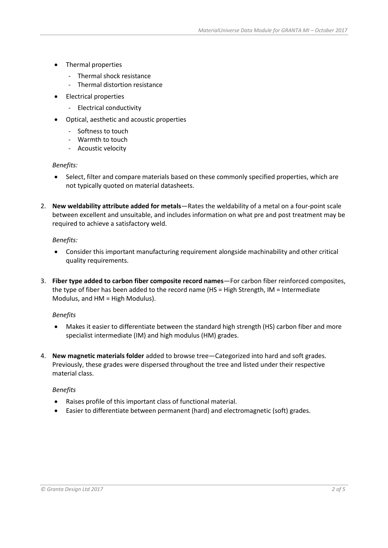- Thermal properties
	- Thermal shock resistance
	- Thermal distortion resistance
- Electrical properties
	- Electrical conductivity
- Optical, aesthetic and acoustic properties
	- Softness to touch
	- Warmth to touch
	- Acoustic velocity

#### *Benefits:*

- Select, filter and compare materials based on these commonly specified properties, which are not typically quoted on material datasheets.
- 2. **New weldability attribute added for metals**—Rates the weldability of a metal on a four-point scale between excellent and unsuitable, and includes information on what pre and post treatment may be required to achieve a satisfactory weld.

## *Benefits:*

- Consider this important manufacturing requirement alongside machinability and other critical quality requirements.
- 3. **Fiber type added to carbon fiber composite record names**—For carbon fiber reinforced composites, the type of fiber has been added to the record name (HS = High Strength, IM = Intermediate Modulus, and HM = High Modulus).

#### *Benefits*

- Makes it easier to differentiate between the standard high strength (HS) carbon fiber and more specialist intermediate (IM) and high modulus (HM) grades.
- 4. **New magnetic materials folder** added to browse tree—Categorized into hard and soft grades. Previously, these grades were dispersed throughout the tree and listed under their respective material class.

## *Benefits*

- Raises profile of this important class of functional material.
- Easier to differentiate between permanent (hard) and electromagnetic (soft) grades.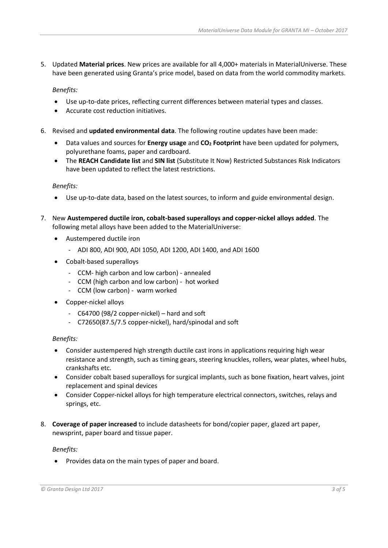5. Updated **Material prices**. New prices are available for all 4,000+ materials in MaterialUniverse. These have been generated using Granta's price model, based on data from the world commodity markets.

*Benefits:*

- Use up-to-date prices, reflecting current differences between material types and classes.
- Accurate cost reduction initiatives.
- 6. Revised and **updated environmental data**. The following routine updates have been made:
	- Data values and sources for **Energy usage** and **CO<sup>2</sup> Footprint** have been updated for polymers, polyurethane foams, paper and cardboard.
	- The **REACH Candidate list** and **SIN list** (Substitute It Now) Restricted Substances Risk Indicators have been updated to reflect the latest restrictions.

#### *Benefits:*

- Use up-to-date data, based on the latest sources, to inform and guide environmental design.
- 7. New **Austempered ductile iron, cobalt-based superalloys and copper-nickel alloys added**. The following metal alloys have been added to the MaterialUniverse:
	- Austempered ductile iron
		- ADI 800, ADI 900, ADI 1050, ADI 1200, ADI 1400, and ADI 1600
	- Cobalt-based superalloys
		- CCM- high carbon and low carbon) annealed
		- CCM (high carbon and low carbon) hot worked
		- CCM (low carbon) warm worked
	- Copper-nickel alloys
		- C64700 (98/2 copper-nickel) hard and soft
		- C72650(87.5/7.5 copper-nickel), hard/spinodal and soft

#### *Benefits:*

- Consider austempered high strength ductile cast irons in applications requiring high wear resistance and strength, such as timing gears, steering knuckles, rollers, wear plates, wheel hubs, crankshafts etc.
- Consider cobalt based superalloys for surgical implants, such as bone fixation, heart valves, joint replacement and spinal devices
- Consider Copper-nickel alloys for high temperature electrical connectors, switches, relays and springs, etc.
- 8. **Coverage of paper increased** to include datasheets for bond/copier paper, glazed art paper, newsprint, paper board and tissue paper.

#### *Benefits:*

• Provides data on the main types of paper and board.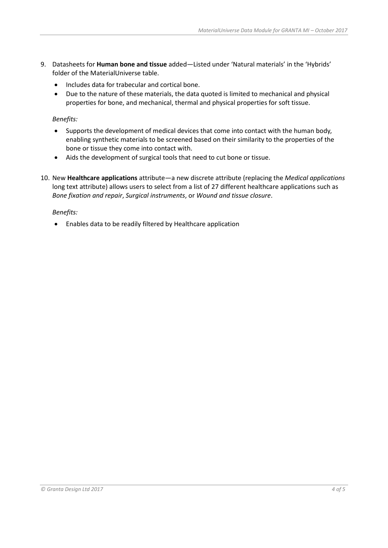- 9. Datasheets for **Human bone and tissue** added—Listed under 'Natural materials' in the 'Hybrids' folder of the MaterialUniverse table.
	- Includes data for trabecular and cortical bone.
	- Due to the nature of these materials, the data quoted is limited to mechanical and physical properties for bone, and mechanical, thermal and physical properties for soft tissue.

### *Benefits:*

- Supports the development of medical devices that come into contact with the human body, enabling synthetic materials to be screened based on their similarity to the properties of the bone or tissue they come into contact with.
- Aids the development of surgical tools that need to cut bone or tissue.
- 10. New **Healthcare applications** attribute—a new discrete attribute (replacing the *Medical applications* long text attribute) allows users to select from a list of 27 different healthcare applications such as *Bone fixation and repair*, *Surgical instruments*, or *Wound and tissue closure*.

## *Benefits:*

• Enables data to be readily filtered by Healthcare application